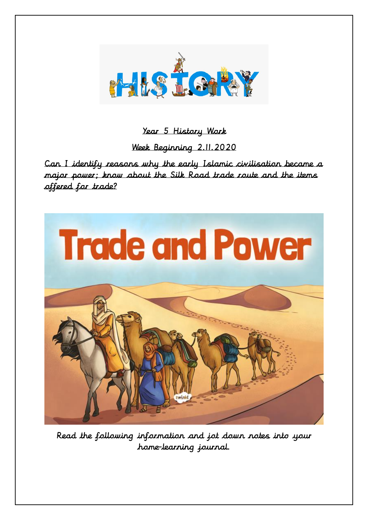

## Year 5 History Work

Week Beginning 2.11.2020

Can I identify reasons why the early Islamic civilisation became a major power; know about the Silk Road trade route and the items offered for trade?



Read the following information and jot down notes into your home-learning journal.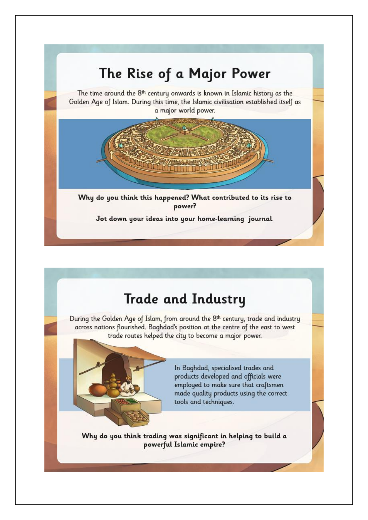

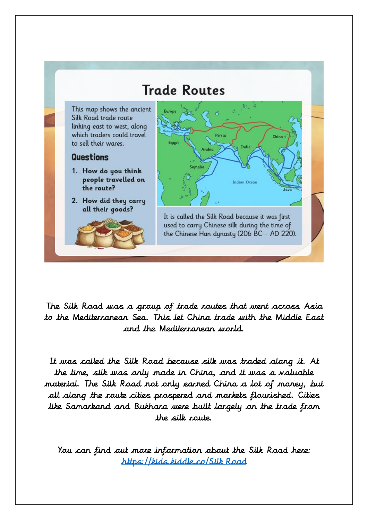

The Silk Road was a group of trade routes that went across Asia to the Mediterranean Sea. This let China trade with the Middle East and the Mediterranean world.

It was called the Silk Road because silk was traded along it. At the time, silk was only made in China, and it was a valuable material. The Silk Road not only earned China a lot of money, but all along the route cities prospered and markets flourished. Cities like Samarkand and Bukhara were built largely on the trade from the silk route.

You can find out more information about the Silk Road here: [https://kids.kiddle.co/Silk\\_Road](https://kids.kiddle.co/Silk_Road)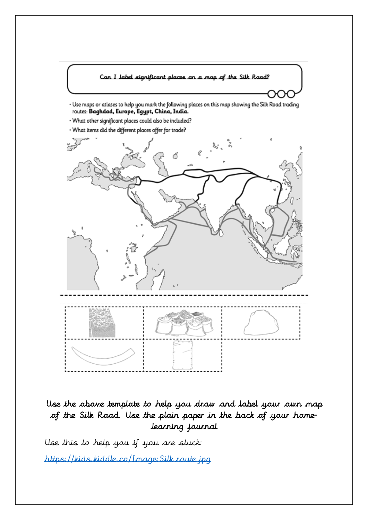

## Use the above template to help you draw and label your own map of the Silk Road. Use the plain paper in the back of your homelearning journal

Use this to help you if you are stuck: [https://kids.kiddle.co/Image:Silk\\_route.jpg](https://kids.kiddle.co/Image:Silk_route.jpg)